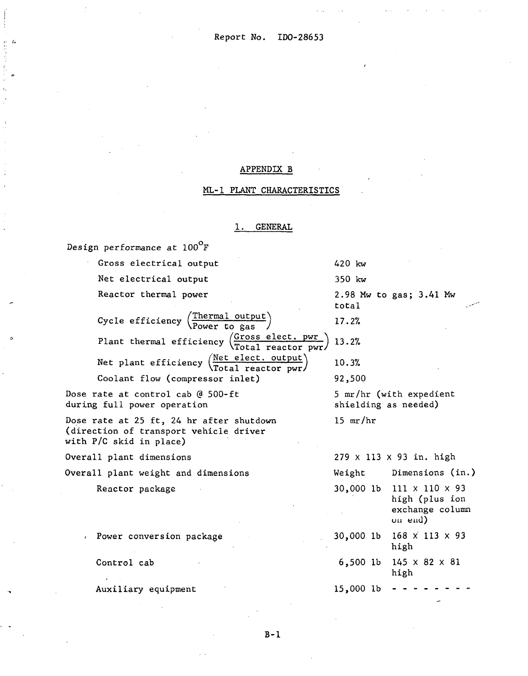. ..

#### APPENDIX B

#### ML-1 PLANT CHARACTERISTICS

#### **GENERAL**

Design performance at  $100^{\circ}$ F

Gross electrical output 420 kw Net electrical output 350 kw Reactor thermal power 2.98 **Mu** to gas; 3.41 Mw total Cycle efficiency  $\frac{\text{The *rand output}}*}{\text{Power to gas}}$ **17.2%**  Plant thermal efficiency  $\left(\frac{Gross\; electric\; power}{Total\; reactor\; pwr}\right)$  13.2% Net plant efficiency  $\frac{\text{Net elect. output}}{\text{Total reactor pwr}}$  10.3%<br>Coolant flow (compressor inlet) 92,500 Coolant flow (compressor inlet) Dose rate at control cab @ 500-ft 5 mr/hr (with expedient during full power operation shielding as needed) 15  $mr/hr$ Dose rate at 25 ft, 24 hr after shutdown (direction of transport vehicle driver with  $P/C$  skid in place) Overall plant dimensions 279 x 113 x 93 in. high Overall plant weight and dimensions Weight Dimensions (in.) 30,000 lb 111 X 110 X 93 Reactor package high (plus ion exchange column **Ull elld)**  30,000 lb 168 x' 113 x 93 *<sup>I</sup>*Power conversion package high Control cab 6,500 lb 145 x 82 x 81 high 15,000 lb Auxiliary equipment \*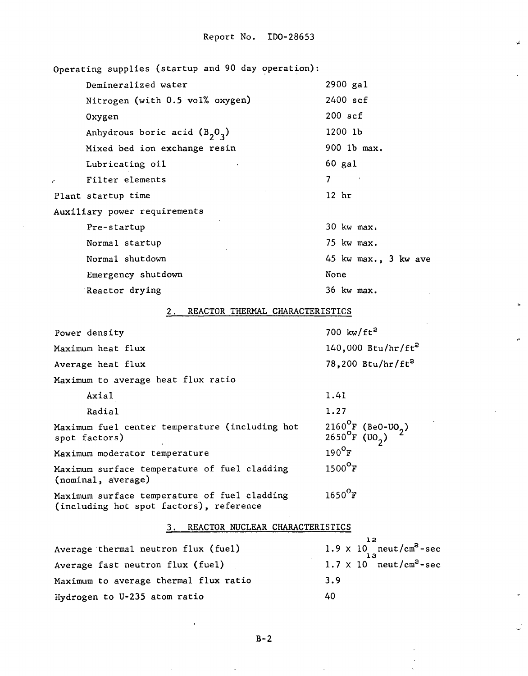Operating supplies (startup and 90 day operation): 2900 gal Demineralized water Nitrogen (with 0.5 vol% oxygen) 2400 scf 200 scf Oxygen 1200 lb Anhydrous boric acid  $(B_2O_3)$ 900 lb max. Mixed bed ion exchange resin 60 gal Lubricating oil **<sup>r</sup>**Filter elements 7 Plant startup time 12 hr Auxiliary power requirements Pre-startup 30 kw max. 75 kw rnax. Normal startup Normal shutdown 45 **kw** max., 3 **kw** ave Emergency shutdown None 36 kw max. Reactor drying 2. REACTOR THERMAL CHARACTERISTICS 700  $kw/ft^2$ Power density  $140,000$  Btu/hr/ft<sup>2</sup> Maximum heat flux 78,200 Btu/hr/ft<sup>2</sup> Average heat flux Maximum to average heat flux ratio Axial 1.41 1.27 Radial 2160°F (BeO-UO<sub>2</sub>)<br>2650°F (UO<sub>2</sub>) Maximum fuel center temperature (including hot spot factors)  $190^{\circ}$ F Maximum moderator temperature  $1500^{\circ}$ F Maximum surface temperature of fuel cladding (nominal, average)  $1650$ <sup>O</sup>F Maximum surface temperature of fuel cladding (including hot spot factors'), reference 3. REACTOR NUCLEAR CHARACTERISTICS **12**  Average thermal neutron flux (fuel) **13**  Average fast neutron flux (fuel)  $1.7 \times 10$  neut/cm<sup>2</sup>-sec Maximum to average thermal flux ratio 3.9 Hydrogen to U-235 atom ratio 40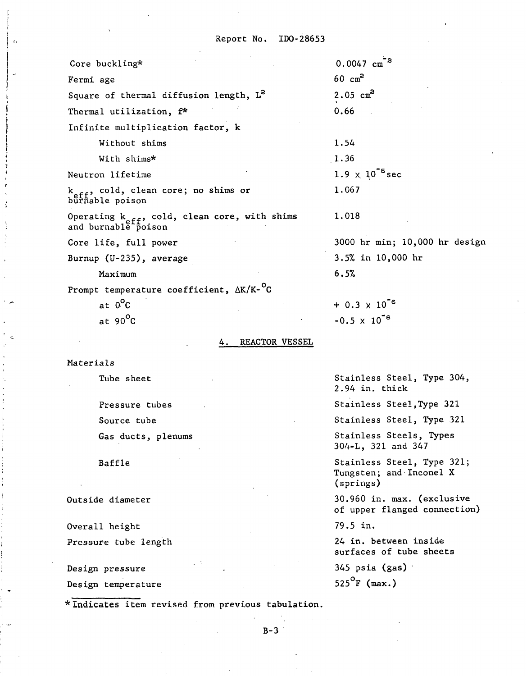| Core buckling*                                                                   | $0.0047 \text{ cm}^{-2}$      |
|----------------------------------------------------------------------------------|-------------------------------|
| Fermi age                                                                        | $60 \text{ cm}^2$             |
| Square of thermal diffusion length, L <sup>2</sup>                               | $2.05 \text{ cm}^2$           |
| Thermal utilization, f*                                                          | 0.66                          |
| Infinite multiplication factor, k                                                |                               |
| Without shims                                                                    | 1.54                          |
| With shims*                                                                      | 1.36                          |
| Neutron lifetime                                                                 | $1.9 \times 10^{-5}$ sec      |
| k <sub>eff</sub> , cold, clean core; no shims or<br>burnable poison              | 1.067                         |
| Operating k <sub>eff</sub> , cold, clean core, with shims<br>and burnable poison | 1.018                         |
| Core life, full power                                                            | 3000 hr min; 10,000 hr design |
| Burnup (U-235), average                                                          | 3.5% in 10,000 hr             |
| Maximum                                                                          | 6.5%                          |
| Prompt temperature coefficient, $\Delta K/K$ - <sup>O</sup> C                    |                               |
| at $0^{\circ}C$                                                                  | $+ 0.3 \times 10^{-6}$        |
| at $90^{\circ}$ C                                                                | $-0.5 \times 10^{-6}$         |

#### 4. REACTOR VESSEL

Materials

 $\alpha$ 

Tube sheet

Pressure tubes Source tube Gas ducts, plenums

Baffle

Outside diameter

Overall height

Pressure tube length

Design pressure Design temperature ure<br>ratur<br>—<br>tem r

Stainless Steel, Type 304, 2.94 in. thick

stainless Steel **,Type** 321

Stainless Steel, Type 321

Stainless Steels, Types 304-L, 321 and 347

Stainless Steel, Type 321; Tungsten; and- Inconel X (springs)

30.960 in. **max.** (exclusive of upper flanged connection)

79.5 in.

24 in. between inside surfaces of tube sheets

345 psia (gas)

525 $^{\circ}$ F (max.)

\* Indicates item revised from previous tabulation.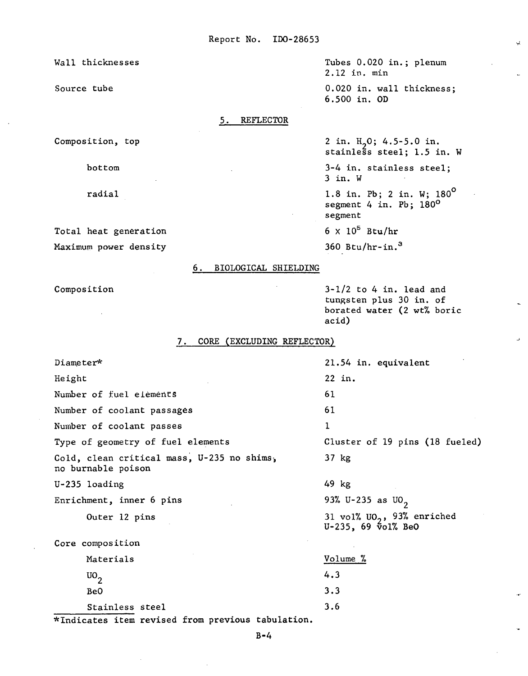Wall thicknesses

Source tube

### 5. REFLECTOR

Composition, top

bottom

radial

Total heat generation Maximum power density

### 6. BIOLOGICAL SHIELDING

Composition

Tubes 0.020 in.; plenum 2.12 in. min 0.020 in. wall thickness; 6.500 in. OD

Q.

2 in.  $H_2O$ ; 4.5-5.0 in.<br>stainless steel; 1.5 in. W

3-4 in. stainless steel; 3 in. W

1.8 in. Pb; 2 in. W; 180° segment 4 in. Pb; 180<sup>0</sup> segment

 $6 \times 10^5$  Btu/hr

360 Btu/hr-in. $3$ 

 $3-1/2$  to 4 in. lead and tungsten plus 30 in. of borated water (2 wt% boric acid)

# 7. CORE (EXCLUDING REFLECTOR)

| Diameter*                                                        | 21.54 in. equivalent                                           |
|------------------------------------------------------------------|----------------------------------------------------------------|
| Height                                                           | 22 in.                                                         |
| Number of fuel elements                                          | 61                                                             |
| Number of coolant passages                                       | 61                                                             |
| Number of coolant passes                                         | 1                                                              |
| Type of geometry of fuel elements                                | Cluster of 19 pins (18 fueled)                                 |
| Cold, clean critical mass, U-235 no shims,<br>no burnable poison | 37 kg                                                          |
| U-235 loading                                                    | 49 kg                                                          |
| Enrichment, inner 6 pins                                         | 93% U-235 as UO <sub>2</sub>                                   |
| Outer 12 pins                                                    | 31 vol% $U02$ , 93% enriched<br>$U-235$ , 69 $\bar{v}$ ol% BeO |
| Core composition                                                 |                                                                |
| Materials                                                        | Volume <sub>%</sub>                                            |
| $\mathrm{U0}_{2}$                                                | 4.3                                                            |
| BeO                                                              | 3.3                                                            |
| Stainless steel<br>പ്രധാനം വലിപ്പി പക്ഷ<br>. <del>. .</del>      | 3.6                                                            |

\*Indicates item revised from previous tabulation.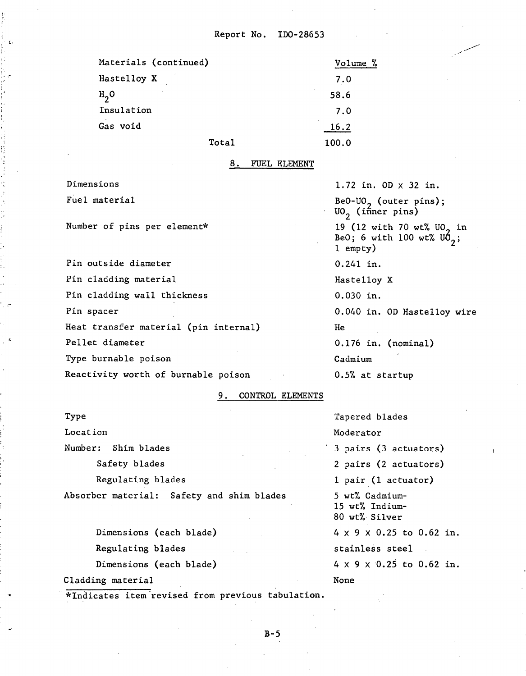| Materials (continued) | Volume %           |
|-----------------------|--------------------|
| Hastelloy X           | 7.0                |
| $H2$ O                | $\epsilon$<br>58.6 |
| Insulation            | 7.0                |
| Gas void              | 16.2               |
| Total                 | 100.0              |

#### FUEL ELEMENT

Dimens ions 1.72 in. OD x 32 in. Fuel material

Number of pins per element\*

Pin outside diameter 0.241 in. Pin cladding material example of the Hastelloy X Pin cladding wall thickness 0.030 in. Pin spacer Heat transfer material (pin internal) Pellet diameter Type burnable poison

BeO-UO<sub>2</sub> (outer pins);<br>UO<sub>2</sub> (inner pins) 19 (12 with 70 wt% UO<sub>2</sub> in BeO; 6 with 100 wt%  $\mathsf{U6}_3$ ; 1 empty) 0.040 in. OD Hastelloy wire He

0.176 in. (nominal) Cadmium Reactivity worth of burnable poison 0.5% at startup

### 9. CONTROL ELEMENTS

Type Tapered blades Locat ion Moderator Number: Shim blades  $3$  pairs  $(3$  actuators) Safety blades 2 pairs (2 actuators) Regulating blades 1 pair (1 actuator) Absorber material: Safety and shim blades 5 wt% Cadmium-15 wt% Indium-80 wt%. Silver Dimensions (each blade)  $4 \times 9 \times 0.25$  to 0.62 in. Regulating blades stainless steel Dimensions (each blade) 4 x 9 x 0.25 to 0.62 in.

Cladding material None

\*Indicates item-revised from previous tabulation.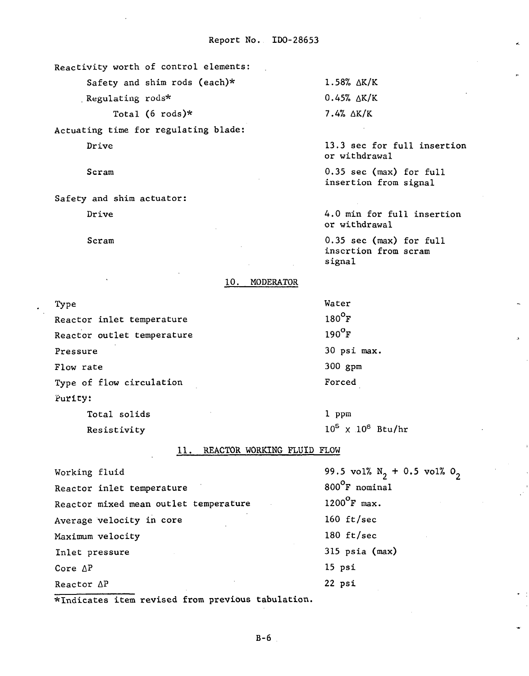Reactivity worth of control elements:

Safety and shim rods (each)\*

. Regulating rods\*

Total (6  $\text{rods}$ )\*

Actuating time for regulating blade:

Drive

Scram

Safety and shim actuator:

Drive

Scram

1.58% AK/K  $0.45% \Delta K/K$  $7.4% \Delta K/K$ 

13.3 sec for full insertion or withdrawal

 $0.35$  sec (max) for full insertion from signal

4.0 min for full insertion or withdrawal

0.35 sec **(rnax)** for full inscrtion from scram signal

## 10. MODERATOR

Type Reactor inlet temperature

Reactor outlet temperature Pressure Flow rate Type of flow circulation Purlcy: Total solids

Resistivity

Water  $180^{\circ}$ F  $190^{\circ}$ F 30 psi max. 300 gpm Forced

1 PPm  $10^5$  X  $10^6$  Btu/hr

 $0<sub>2</sub>$ 

11. REACTOR WORKING FLUID FLOW

| Working fluid                         | 99.5 vol% $N_2$ + 0.5 vol% |
|---------------------------------------|----------------------------|
| Reactor inlet temperature             | 800°F nominal              |
| Reactor mixed mean outlet temperature | $1200^{\circ}$ F max.      |
| Average velocity in core              | 160 $ft/sec$               |
| Maximum velocity                      | 180 $ft/sec$               |
| Inlet pressure                        | $315$ psia (max)           |
| Core $\Delta P$                       | $15$ psi                   |
| Reactor $\Delta P$                    | 22 psi                     |
|                                       |                            |

\*Indicates item revised from previous tabulation.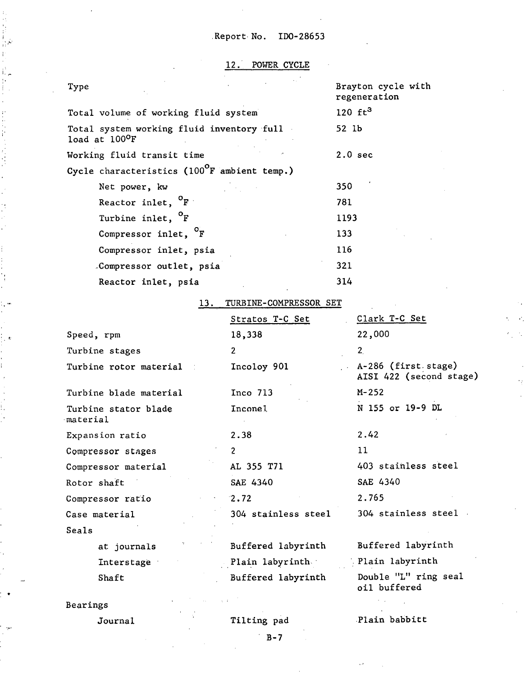# 12. POWER CYCLE

| Type                                                                 | Brayton cycle with<br>regeneration |
|----------------------------------------------------------------------|------------------------------------|
| Total volume of working fluid system                                 | 120 $ft^3$                         |
| Total system working fluid inventory full<br>load at $100^{\circ}$ F | 52 lb                              |
| Working fluid transit time                                           | $2.0$ sec                          |
| Cycle characteristics ( $100^{\circ}$ F ambient temp.)               |                                    |
| Net power, kw                                                        | 350                                |
| Reactor inlet, <sup>O</sup> F                                        | 781                                |
| Turbine inlet, <sup>O</sup> F                                        | 1193                               |
| Compressor inlet, <sup>O</sup> F                                     | 133                                |
| Compressor inlet, psia                                               | 116                                |
| Compressor outlet, psia                                              | 321                                |
| Reactor inlet, psia                                                  | 314                                |

# 13. TURBINE-COMPRESSOR SET

|                                  | Stratos T-C Set     | Clark T-C Set                                  |
|----------------------------------|---------------------|------------------------------------------------|
| Speed, rpm                       | 18,338              | 22,000                                         |
| Turbine stages                   | $\overline{2}$      | 2 <sub>1</sub>                                 |
| Turbine rotor material           | Incoloy 901         | A-286 (first stage)<br>AISI 422 (second stage) |
| Turbine blade material           | $Inco$ 713          | $M - 252$                                      |
| Turbine stator blade<br>material | Inconel             | N 155 or 19-9 DL                               |
| Expansion ratio                  | 2.38                | 2.42                                           |
| Compressor stages                | $\overline{c}$      | 11                                             |
| Compressor material              | AL 355 T71          | 403 stainless steel                            |
| Rotor shaft                      | SAE 4340            | SAE 4340                                       |
| Compressor ratio                 | 2.72                | 2.765                                          |
| Case material                    | 304 stainless steel | 304 stainless steel                            |
| Seals                            |                     |                                                |
| at journals                      | Buffered labyrinth  | Buffered labyrinth                             |
| Interstage                       | Plain labyrinth     | Plain labyrinth                                |
| Shaft                            | Buffered labyrinth  | Double "L" ring seal<br>oil buffered           |

Bearings

ţ.  $\bullet$ 

 $\bar{\nu}$ ¥,

i

İ.

P

Journa 1

 $\overline{B}$  - 7

.Plain babbitt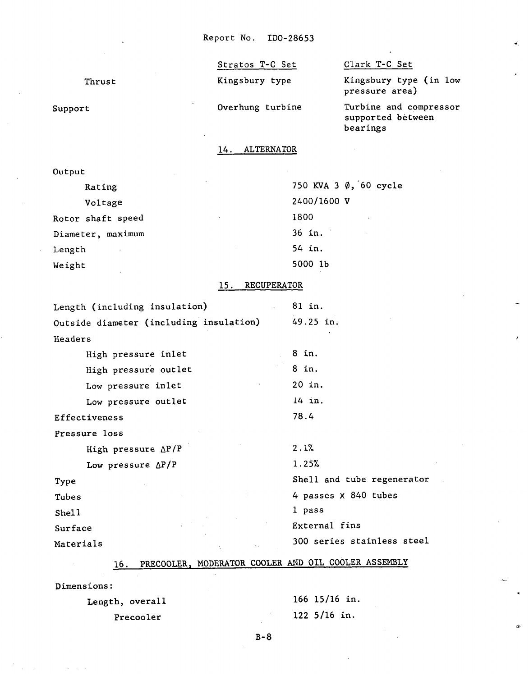Thrust

Support

Stratos T-C Set Clark T-C Set

Kingsbury type Kingsbury type (in low pressure area)

Overhung turbine Turbine and compressor supported between bearings

is.

14. ALTERNATOR

Output

| Rating            | 750 KVA 3 Ø, 60 cycle |
|-------------------|-----------------------|
| Voltage           | 2400/1600 V           |
| Rotor shaft speed | 1800                  |
| Diameter, maximum | 36 in.                |
| Length            | 54 in.                |
| Weight            | 5000 1b               |

# 15. RECUPERATOR

| Length (including insulation)           | $. 81$ in.                 |
|-----------------------------------------|----------------------------|
| Outside diameter (including insulation) | 49.25 in.                  |
| Headers                                 |                            |
| High pressure inlet                     | 8 in.                      |
| High pressure outlet                    | 8 in.                      |
| Low pressure inlet                      | 20 in.                     |
| Low pressure outlet                     | 14 in.                     |
| Effectiveness                           | 78.4                       |
| Pressure loss                           |                            |
| High pressure $\Delta P/P$              | 2.1%                       |
| Low pressure $\Delta P/P$               | 1.25%                      |
| Type                                    | Shell and tube regenerator |
| Tubes                                   | 4 passes X 840 tubes       |
| Shell                                   | 1 pass                     |
| Surface                                 | External fins              |
| Materials                               | 300 series stainless steel |
|                                         |                            |

# 16. PRECOOLER, MODERATOR COOLER AND OIL COOLER ASSEMBLY

Dimensions :

| Length, overall | 166 15/16 in.          |
|-----------------|------------------------|
| Precooler       | $122 \frac{5}{16}$ in. |

 $B - 8$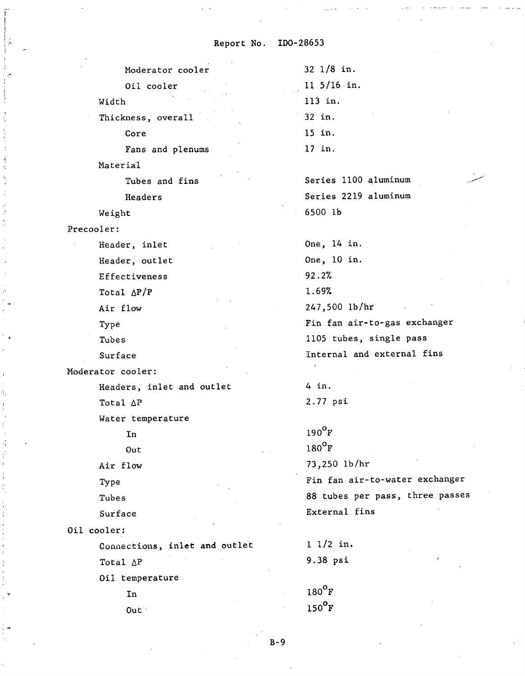Moderator cooler Oil cooler Width Thickness, overall

Core

Fans and plenums

Material

Tubes and fins

Headers

Weight

Precooler:

Header, inlet Header, outlet Effectiveness Total  $\Delta P/P$ Air flow **Type** Tubes

Surface

Moderator cooler:

Headers, inlet and outlet Total AP

Water temperature

In

Out

Air flow

**='Y** pe

Tubes

Surface

Out :

Oil cooler:

Conaections, inlet and outlet Total AP Oil temperature In

11 5/16 in. 113 in. 32 in. 15 in. 17 in.

32 1/8 in.

Series 1100 aluminum Series 2219 aluminum 6500 lb

One, 14 in. One, 10 in. 92.2% 1.69% 247,500 lb/hr Fin fan air-to-gas exchanger 1105 tubes, single pass Internal and external fins

4 in. 2.77 psi

 $190^{\circ}$ F  $180^{\circ}$ F 73,250 lb/hr Fin fan air-to-water exchanger 88 tubes per pass, three passes External fins

1 1/2 in. 9.38 psi

 $180^{\circ}$ F  $150^{\circ}$ F